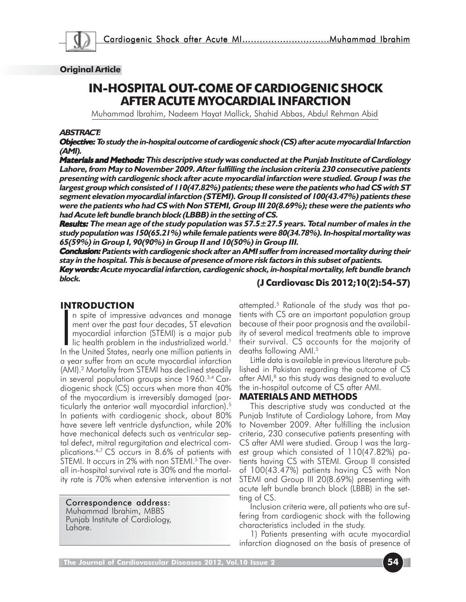

#### **Original Article**

# **IN-HOSPITAL OUT-COME OF CARDIOGENIC SHOCK AFTER ACUTE MYOCARDIAL INFARCTION**

Muhammad Ibrahim, Nadeem Hayat Mallick, Shahid Abbas, Abdul Rehman Abid

#### **ABSTRACT:**

**Objective: Objective: To study the in-hospital outcome of cardiogenic shock (CS) after acute myocardial Infarction Objective: (AMI).**

**Materials and Methods:** This descriptive study was conducted at the Punjab Institute of Cardiology **Lahore, from May to November 2009. After fulfilling the inclusion criteria 230 consecutive patients presenting with cardiogenic shock after acute myocardial infarction were studied. Group I was the largest group which consisted of 110(47.82%) patients; these were the patients who had CS with ST segment elevation myocardial infarction (STEMI). Group II consisted of 100(43.47%) patients these were the patients who had CS with Non STEMI, Group III 20(8.69%); these were the patients who had Acute left bundle branch block (LBBB) in the setting of CS.**

**Results:** The mean age of the study population was 57.5±27.5 years. Total number of males in the **study population was 150(65.21%) while female patients were 80(34.78%). In-hospital mortality was 65(59%) in Group I, 90(90%) in Group II and 10(50%) in Group III.**

**Conclusion: Conclusion: Patients with cardiogenic shock after an AMI suffer from increased mortality during their Conclusion: stay in the hospital. This is because of presence of more risk factors in this subset of patients.**

**Key words: Acute myocardial infarction, cardiogenic shock, in-hospital mortality, left bundle branch block.**

#### **INTRODUCTION**

INTRUDUCTIUM<br>
In spite of impressive advances and manage<br>
ment over the past four decades, ST elevation<br>
myocardial infarction (STEMI) is a major pub<br>
lic health problem in the industrialized world.<sup>1</sup><br>
In the United State n spite of impressive advances and manage ment over the past four decades, ST elevation myocardial infarction (STEMI) is a major pub  $\blacksquare$  lic health problem in the industrialized world.<sup>1</sup> a year suffer from an acute myocardial infarction (AMI).2 Mortality from STEMI has declined steadily in several population groups since 1960.3,4 Cardiogenic shock (CS) occurs when more than 40% of the myocardium is irreversibly damaged (particularly the anterior wall myocardial infarction).5 In patients with cardiogenic shock, about 80% have severe left ventricle dysfunction, while 20% have mechanical defects such as ventricular septal defect, mitral regurgitation and electrical complications.6,7 CS occurs in 8.6% of patients with STEMI. It occurs in 2% with non STEMI.<sup>5</sup> The overall in-hospital survival rate is 30% and the mortality rate is 70% when extensive intervention is not

#### Correspondence address:

Muhammad Ibrahim, MBBS Punjab Institute of Cardiology, Lahore.

**(J Cardiovasc Dis 2012;10(2):54-57)**

attempted.5 Rationale of the study was that patients with CS are an important population group because of their poor prognosis and the availability of several medical treatments able to improve their survival. CS accounts for the majority of deaths following AMI.5

Little data is available in previous literature published in Pakistan regarding the outcome of CS after AMI,<sup>8</sup> so this study was designed to evaluate the in-hospital outcome of CS after AMI.

#### **MATERIALS AND METHODS**

This descriptive study was conducted at the Punjab Institute of Cardiology Lahore, from May to November 2009. After fulfilling the inclusion criteria, 230 consecutive patients presenting with CS after AMI were studied. Group I was the largest group which consisted of 110(47.82%) patients having CS with STEMI. Group II consisted of 100(43.47%) patients having CS with Non STEMI and Group III 20(8.69%) presenting with acute left bundle branch block (LBBB) in the setting of CS.

Inclusion criteria were, all patients who are suffering from cardiogenic shock with the following characteristics included in the study.

1) Patients presenting with acute myocardial infarction diagnosed on the basis of presence of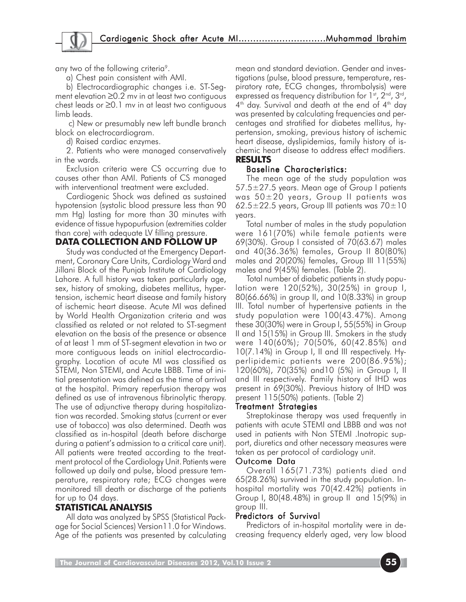any two of the following criteria<sup>9</sup>.

a) Chest pain consistent with AMI.

b) Electrocardiographic changes i.e. ST-Segment elevation ≥0.2 mv in at least two contiguous chest leads or ≥0.1 mv in at least two contiguous limb leads.

 c) New or presumably new left bundle branch block on electrocardiogram.

d) Raised cardiac enzymes.

2. Patients who were managed conservatively in the wards.

Exclusion criteria were CS occurring due to causes other than AMI. Patients of CS managed with interventional treatment were excluded.

Cardiogenic Shock was defined as sustained hypotension (systolic blood pressure less than 90 mm Hg) lasting for more than 30 minutes with evidence of tissue hypopurfusion (extremities colder than core) with adequate LV filling pressure.

# **DATA COLLECTION AND FOLLOW UP**

Study was conducted at the Emergency Department, Coronary Care Units, Cardiology Ward and Jillani Block of the Punjab Institute of Cardiology Lahore. A full history was taken particularly age, sex, history of smoking, diabetes mellitus, hypertension, ischemic heart disease and family history of ischemic heart disease. Acute MI was defined by World Health Organization criteria and was classified as related or not related to ST-segment elevation on the basis of the presence or absence of at least 1 mm of ST-segment elevation in two or more contiguous leads on initial electrocardiography. Location of acute MI was classified as STEMI, Non STEMI, and Acute LBBB. Time of initial presentation was defined as the time of arrival at the hospital. Primary reperfusion therapy was defined as use of intravenous fibrinolytic therapy. The use of adjunctive therapy during hospitalization was recorded. Smoking status (current or ever use of tobacco) was also determined. Death was classified as in-hospital (death before discharge during a patient's admission to a critical care unit). All patients were treated according to the treatment protocol of the Cardiology Unit.Patients were followed up daily and pulse, blood pressure temperature, respiratory rate; ECG changes were monitored till death or discharge of the patients for up to 04 days.

# **STATISTICAL ANALYSIS**

All data was analyzed by SPSS (Statistical Package for Social Sciences) Version11.0 for Windows. Age of the patients was presented by calculating

mean and standard deviation. Gender and investigations (pulse, blood pressure, temperature, respiratory rate, ECG changes, thrombolysis) were expressed as frequency distribution for 1st, 2<sup>nd</sup>, 3<sup>rd</sup>,  $4<sup>th</sup>$  day. Survival and death at the end of  $4<sup>th</sup>$  day was presented by calculating frequencies and percentages and stratified for diabetes mellitus, hypertension, smoking, previous history of ischemic heart disease, dyslipidemias, family history of ischemic heart disease to address effect modifiers. **RESULTS**

### Baseline Characteristics:

The mean age of the study population was 57.5±27.5 years. Mean age of Group I patients was 50±20 years, Group II patients was 62.5 $\pm$ 22.5 years, Group III patients was 70 $\pm$ 10 years.

Total number of males in the study population were 161(70%) while female patients were 69(30%). Group I consisted of 70(63.67) males and 40(36.36%) females, Group II 80(80%) males and 20(20%) females, Group III 11(55%) males and 9(45%) females. (Table 2).

Total number of diabetic patients in study population were 120(52%), 30(25%) in group I, 80(66.66%) in group II, and 10(8.33%) in group III. Total number of hypertensive patients in the study population were 100(43.47%). Among these 30(30%) were in Group I, 55(55%) in Group II and 15(15%) in Group III. Smokers in the study were 140(60%); 70(50%, 60(42.85%) and 10(7.14%) in Group I, II and III respectively. Hyperlipidemic patients were 200(86.95%); 120(60%), 70(35%) and10 (5%) in Group I, II and III respectively. Family history of IHD was present in 69(30%). Previous history of IHD was present 115(50%) patients. (Table 2)

### Treatment Strategies

Streptokinase therapy was used frequently in patients with acute STEMI and LBBB and was not used in patients with Non STEMI .Inotropic support, diuretics and other necessary measures were taken as per protocol of cardiology unit.

### Outcome Data

Overall 165(71.73%) patients died and 65(28.26%) survived in the study population. Inhospital mortality was 70(42.42%) patients in Group I, 80(48.48%) in group II and 15(9%) in group III.

### Predictors of Survival

Predictors of in-hospital mortality were in decreasing frequency elderly aged, very low blood

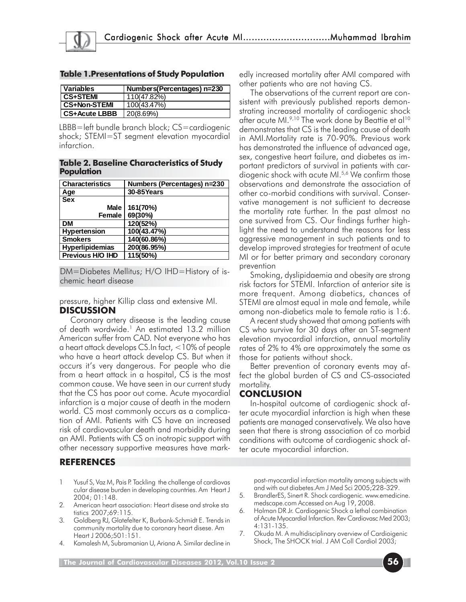| <b>Table 1.Presentations of Study Population</b> |  |
|--------------------------------------------------|--|
|--------------------------------------------------|--|

| <b>Variables</b>     | Numbers(Percentages) n=230 |
|----------------------|----------------------------|
| <b>CS+STEMI</b>      | 110(47.82%)                |
| <b>CS+Non-STEMI</b>  | 100(43.47%)                |
| <b>CS+Acute LBBB</b> | 20(8.69%)                  |

LBBB=left bundle branch block; CS=cardiogenic shock; STEMI=ST segment elevation myocardial infarction.

#### **Table 2. Baseline Characteristics of Study Population**

| <b>Characteristics</b> | Numbers (Percentages) n=230 |
|------------------------|-----------------------------|
| Age                    | 30-85Years                  |
| <b>Sex</b>             |                             |
| Male                   | 161(70%)                    |
| Female                 | 69(30%)                     |
| <b>DM</b>              | 120(52%)                    |
| <b>Hypertension</b>    | 100(43.47%)                 |
| <b>Smokers</b>         | 140(60.86%)                 |
| Hyperlipidemias        | 200(86.95%)                 |
| Previous H/O IHD       | $115(50\%)$                 |

DM=Diabetes Mellitus; H/O IHD=History of ischemic heart disease

pressure, higher Killip class and extensive MI. **DISCUSSION**

Coronary artery disease is the leading cause of death wordwide.<sup>1</sup> An estimated 13.2 million American suffer from CAD. Not everyone who has a heart attack develops CS.In fact, <10% of people who have a heart attack develop CS. But when it occurs it's very dangerous. For people who die from a heart attack in a hospital, CS is the most common cause. We have seen in our current study that the CS has poor out come. Acute myocardial infarction is a major cause of death in the modern world. CS most commonly occurs as a complication of AMI. Patients with CS have an increased risk of cardiovascular death and morbidity during an AMI. Patients with CS on inotropic support with other necessary supportive measures have mark-

### **REFERENCES**

- 1 Yusuf S, Vaz M, Pais P. Tackling the challenge of cardiovas cular disease burden in developing countries. Am Heart J 2004; 01:148.
- 2. American heart association: Heart disese and stroke sta tistics 2007;69:115.
- 3. Goldberg RJ, Glatefelter K, Burbank-Schmidt E. Trends in community mortality due to coronary heart disese. Am Heart J 2006;501:151.
- Kamalesh M, Subramanian U, Ariana A. Similar decline in

edly increased mortality after AMI compared with other patients who are not having CS.

The observations of the current report are consistent with previously published reports demonstrating increased mortality of cardiogenic shock after acute MI.<sup>9,10</sup> The work done by Beattie et al<sup>10</sup> demonstrates that CS is the leading cause of death in AMI.Mortality rate is 70-90%. Previous work has demonstrated the influence of advanced age, sex, congestive heart failure, and diabetes as important predictors of survival in patients with cardiogenic shock with acute MI.<sup>5,6</sup> We confirm those observations and demonstrate the association of other co-morbid conditions with survival. Conservative management is not sufficient to decrease the mortality rate further. In the past almost no one survived from CS. Our findings further highlight the need to understand the reasons for less aggressive management in such patients and to develop improved strategies for treatment of acute MI or for better primary and secondary coronary prevention

Smoking, dyslipidaemia and obesity are strong risk factors for STEMI. Infarction of anterior site is more frequent. Among diabetics, chances of STEMI are almost equal in male and female, while among non-diabetics male to female ratio is 1:6.

A recent study showed that among patients with CS who survive for 30 days after an ST-segment elevation myocardial infarction, annual mortality rates of 2% to 4% are approximately the same as those for patients without shock.

Better prevention of coronary events may affect the global burden of CS and CS-associated mortality.

### **CONCLUSION**

In-hospital outcome of cardiogenic shock after acute myocardial infarction is high when these patients are managed conservatively. We also have seen that there is strong association of co morbid conditions with outcome of cardiogenic shock after acute myocardial infarction.

post-myocardial infarction mortality among subjects with and with out diabetes.Am J Med Sci 2005;228-329.

- 5. BrandlerES, Sinert R. Shock cardiogenic. www.emedicine. medscape.com Accessed on Aug 19, 2008.
- 6. Holman DR Jr. Cardiogenic Shock a lethal combination of Acute Myocardial Infarction. Rev Cardiovasc Med 2003; 4:131-135.
- 7. Okuda M. A multidisciplinary overview of Cardioigenic Shock, The SHOCK trial. J AM Coll Cardiol 2003;